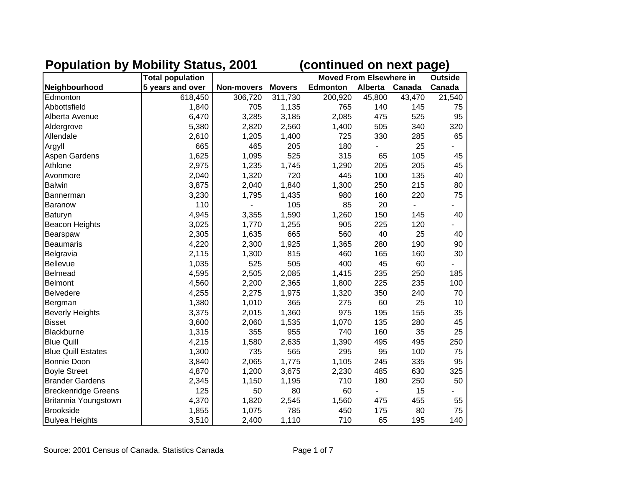|                            | <b>Total population</b> |            |               | <b>Moved From Elsewhere in</b> | <b>Outside</b> |        |        |
|----------------------------|-------------------------|------------|---------------|--------------------------------|----------------|--------|--------|
| Neighbourhood              | 5 years and over        | Non-movers | <b>Movers</b> | <b>Edmonton</b>                | <b>Alberta</b> | Canada | Canada |
| Edmonton                   | 618,450                 | 306,720    | 311,730       | 200,920                        | 45,800         | 43,470 | 21,540 |
| Abbottsfield               | 1,840                   | 705        | 1,135         | 765                            | 140            | 145    | 75     |
| Alberta Avenue             | 6,470                   | 3,285      | 3,185         | 2,085                          | 475            | 525    | 95     |
| Aldergrove                 | 5,380                   | 2,820      | 2,560         | 1,400                          | 505            | 340    | 320    |
| Allendale                  | 2,610                   | 1,205      | 1,400         | 725                            | 330            | 285    | 65     |
| Argyll                     | 665                     | 465        | 205           | 180                            |                | 25     |        |
| Aspen Gardens              | 1,625                   | 1,095      | 525           | 315                            | 65             | 105    | 45     |
| Athlone                    | 2,975                   | 1,235      | 1,745         | 1,290                          | 205            | 205    | 45     |
| Avonmore                   | 2,040                   | 1,320      | 720           | 445                            | 100            | 135    | 40     |
| <b>Balwin</b>              | 3,875                   | 2,040      | 1,840         | 1,300                          | 250            | 215    | 80     |
| <b>Bannerman</b>           | 3,230                   | 1,795      | 1,435         | 980                            | 160            | 220    | 75     |
| <b>Baranow</b>             | 110                     |            | 105           | 85                             | 20             |        |        |
| Baturyn                    | 4,945                   | 3,355      | 1,590         | 1,260                          | 150            | 145    | 40     |
| <b>Beacon Heights</b>      | 3,025                   | 1,770      | 1,255         | 905                            | 225            | 120    |        |
| Bearspaw                   | 2,305                   | 1,635      | 665           | 560                            | 40             | 25     | 40     |
| <b>Beaumaris</b>           | 4,220                   | 2,300      | 1,925         | 1,365                          | 280            | 190    | 90     |
| Belgravia                  | 2,115                   | 1,300      | 815           | 460                            | 165            | 160    | 30     |
| <b>Bellevue</b>            | 1,035                   | 525        | 505           | 400                            | 45             | 60     |        |
| <b>Belmead</b>             | 4,595                   | 2,505      | 2,085         | 1,415                          | 235            | 250    | 185    |
| <b>Belmont</b>             | 4,560                   | 2,200      | 2,365         | 1,800                          | 225            | 235    | 100    |
| <b>Belvedere</b>           | 4,255                   | 2,275      | 1,975         | 1,320                          | 350            | 240    | 70     |
| Bergman                    | 1,380                   | 1,010      | 365           | 275                            | 60             | 25     | 10     |
| <b>Beverly Heights</b>     | 3,375                   | 2,015      | 1,360         | 975                            | 195            | 155    | 35     |
| <b>Bisset</b>              | 3,600                   | 2,060      | 1,535         | 1,070                          | 135            | 280    | 45     |
| Blackburne                 | 1,315                   | 355        | 955           | 740                            | 160            | 35     | 25     |
| <b>Blue Quill</b>          | 4,215                   | 1,580      | 2,635         | 1,390                          | 495            | 495    | 250    |
| <b>Blue Quill Estates</b>  | 1,300                   | 735        | 565           | 295                            | 95             | 100    | 75     |
| <b>Bonnie Doon</b>         | 3,840                   | 2,065      | 1,775         | 1,105                          | 245            | 335    | 95     |
| <b>Boyle Street</b>        | 4,870                   | 1,200      | 3,675         | 2,230                          | 485            | 630    | 325    |
| <b>Brander Gardens</b>     | 2,345                   | 1,150      | 1,195         | 710                            | 180            | 250    | 50     |
| <b>Breckenridge Greens</b> | 125                     | 50         | 80            | 60                             |                | 15     |        |
| Britannia Youngstown       | 4,370                   | 1,820      | 2,545         | 1,560                          | 475            | 455    | 55     |
| <b>Brookside</b>           | 1,855                   | 1,075      | 785           | 450                            | 175            | 80     | 75     |
| <b>Bulyea Heights</b>      | 3,510                   | 2,400      | 1,110         | 710                            | 65             | 195    | 140    |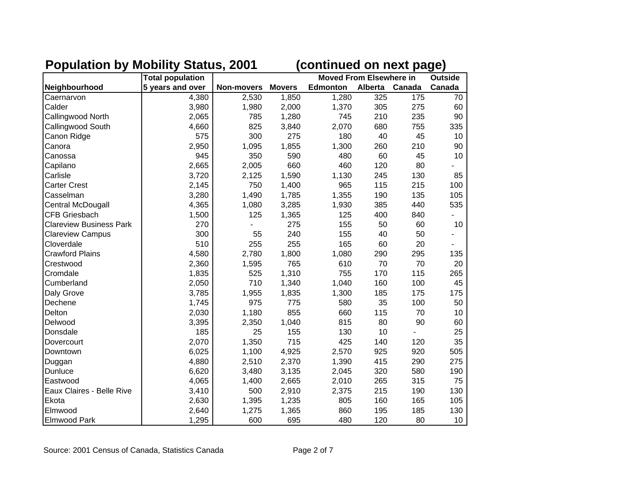|                                | <b>Total population</b> |            |               | <b>Moved From Elsewhere in</b> | <b>Outside</b> |        |        |
|--------------------------------|-------------------------|------------|---------------|--------------------------------|----------------|--------|--------|
| Neighbourhood                  | 5 years and over        | Non-movers | <b>Movers</b> | <b>Edmonton</b>                | Alberta        | Canada | Canada |
| Caernarvon                     | 4,380                   | 2,530      | 1,850         | 1,280                          | 325            | 175    | 70     |
| Calder                         | 3,980                   | 1,980      | 2,000         | 1,370                          | 305            | 275    | 60     |
| Callingwood North              | 2,065                   | 785        | 1,280         | 745                            | 210            | 235    | 90     |
| Callingwood South              | 4,660                   | 825        | 3,840         | 2,070                          | 680            | 755    | 335    |
| Canon Ridge                    | 575                     | 300        | 275           | 180                            | 40             | 45     | 10     |
| Canora                         | 2,950                   | 1,095      | 1,855         | 1,300                          | 260            | 210    | 90     |
| Canossa                        | 945                     | 350        | 590           | 480                            | 60             | 45     | 10     |
| Capilano                       | 2,665                   | 2,005      | 660           | 460                            | 120            | 80     |        |
| Carlisle                       | 3,720                   | 2,125      | 1,590         | 1,130                          | 245            | 130    | 85     |
| <b>Carter Crest</b>            | 2,145                   | 750        | 1,400         | 965                            | 115            | 215    | 100    |
| Casselman                      | 3,280                   | 1,490      | 1,785         | 1,355                          | 190            | 135    | 105    |
| Central McDougall              | 4,365                   | 1,080      | 3,285         | 1,930                          | 385            | 440    | 535    |
| <b>CFB Griesbach</b>           | 1,500                   | 125        | 1,365         | 125                            | 400            | 840    |        |
| <b>Clareview Business Park</b> | 270                     |            | 275           | 155                            | 50             | 60     | 10     |
| <b>Clareview Campus</b>        | 300                     | 55         | 240           | 155                            | 40             | 50     |        |
| Cloverdale                     | 510                     | 255        | 255           | 165                            | 60             | 20     |        |
| <b>Crawford Plains</b>         | 4,580                   | 2,780      | 1,800         | 1,080                          | 290            | 295    | 135    |
| Crestwood                      | 2,360                   | 1,595      | 765           | 610                            | 70             | 70     | 20     |
| Cromdale                       | 1,835                   | 525        | 1,310         | 755                            | 170            | 115    | 265    |
| Cumberland                     | 2,050                   | 710        | 1,340         | 1,040                          | 160            | 100    | 45     |
| Daly Grove                     | 3,785                   | 1,955      | 1,835         | 1,300                          | 185            | 175    | 175    |
| Dechene                        | 1,745                   | 975        | 775           | 580                            | 35             | 100    | 50     |
| Delton                         | 2,030                   | 1,180      | 855           | 660                            | 115            | 70     | 10     |
| Delwood                        | 3,395                   | 2,350      | 1,040         | 815                            | 80             | 90     | 60     |
| Donsdale                       | 185                     | 25         | 155           | 130                            | 10             |        | 25     |
| Dovercourt                     | 2,070                   | 1,350      | 715           | 425                            | 140            | 120    | 35     |
| Downtown                       | 6,025                   | 1,100      | 4,925         | 2,570                          | 925            | 920    | 505    |
| Duggan                         | 4,880                   | 2,510      | 2,370         | 1,390                          | 415            | 290    | 275    |
| Dunluce                        | 6,620                   | 3,480      | 3,135         | 2,045                          | 320            | 580    | 190    |
| Eastwood                       | 4,065                   | 1,400      | 2,665         | 2,010                          | 265            | 315    | 75     |
| Eaux Claires - Belle Rive      | 3,410                   | 500        | 2,910         | 2,375                          | 215            | 190    | 130    |
| Ekota                          | 2,630                   | 1,395      | 1,235         | 805                            | 160            | 165    | 105    |
| Elmwood                        | 2,640                   | 1,275      | 1,365         | 860                            | 195            | 185    | 130    |
| <b>Elmwood Park</b>            | 1,295                   | 600        | 695           | 480                            | 120            | 80     | 10     |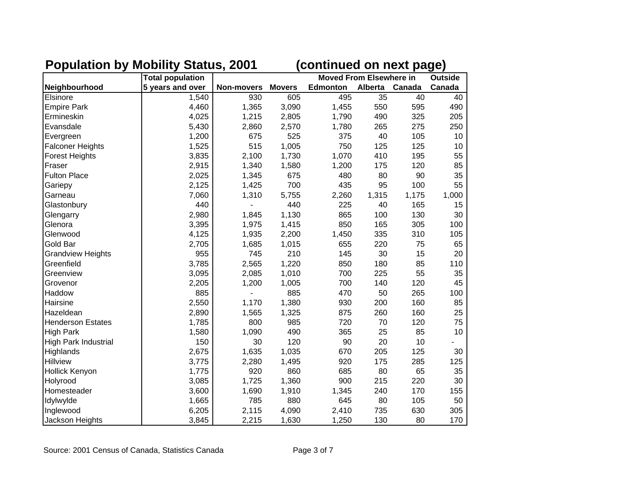|                             | <b>Total population</b> |            |               | <b>Moved From Elsewhere in</b> | <b>Outside</b> |        |        |
|-----------------------------|-------------------------|------------|---------------|--------------------------------|----------------|--------|--------|
| Neighbourhood               | 5 years and over        | Non-movers | <b>Movers</b> | <b>Edmonton</b>                | Alberta        | Canada | Canada |
| Elsinore                    | 1,540                   | 930        | 605           | 495                            | 35             | 40     | 40     |
| <b>Empire Park</b>          | 4,460                   | 1,365      | 3,090         | 1,455                          | 550            | 595    | 490    |
| Ermineskin                  | 4,025                   | 1,215      | 2,805         | 1,790                          | 490            | 325    | 205    |
| Evansdale                   | 5,430                   | 2,860      | 2,570         | 1,780                          | 265            | 275    | 250    |
| Evergreen                   | 1,200                   | 675        | 525           | 375                            | 40             | 105    | 10     |
| <b>Falconer Heights</b>     | 1,525                   | 515        | 1,005         | 750                            | 125            | 125    | 10     |
| <b>Forest Heights</b>       | 3,835                   | 2,100      | 1,730         | 1,070                          | 410            | 195    | 55     |
| Fraser                      | 2,915                   | 1,340      | 1,580         | 1,200                          | 175            | 120    | 85     |
| <b>Fulton Place</b>         | 2,025                   | 1,345      | 675           | 480                            | 80             | 90     | 35     |
| Gariepy                     | 2,125                   | 1,425      | 700           | 435                            | 95             | 100    | 55     |
| Garneau                     | 7,060                   | 1,310      | 5,755         | 2,260                          | 1,315          | 1,175  | 1,000  |
| Glastonbury                 | 440                     |            | 440           | 225                            | 40             | 165    | 15     |
| Glengarry                   | 2,980                   | 1,845      | 1,130         | 865                            | 100            | 130    | 30     |
| Glenora                     | 3,395                   | 1,975      | 1,415         | 850                            | 165            | 305    | 100    |
| Glenwood                    | 4,125                   | 1,935      | 2,200         | 1,450                          | 335            | 310    | 105    |
| Gold Bar                    | 2,705                   | 1,685      | 1,015         | 655                            | 220            | 75     | 65     |
| <b>Grandview Heights</b>    | 955                     | 745        | 210           | 145                            | 30             | 15     | 20     |
| Greenfield                  | 3,785                   | 2,565      | 1,220         | 850                            | 180            | 85     | 110    |
| Greenview                   | 3,095                   | 2,085      | 1,010         | 700                            | 225            | 55     | 35     |
| Grovenor                    | 2,205                   | 1,200      | 1,005         | 700                            | 140            | 120    | 45     |
| Haddow                      | 885                     |            | 885           | 470                            | 50             | 265    | 100    |
| Hairsine                    | 2,550                   | 1,170      | 1,380         | 930                            | 200            | 160    | 85     |
| Hazeldean                   | 2,890                   | 1,565      | 1,325         | 875                            | 260            | 160    | 25     |
| <b>Henderson Estates</b>    | 1,785                   | 800        | 985           | 720                            | 70             | 120    | 75     |
| <b>High Park</b>            | 1,580                   | 1,090      | 490           | 365                            | 25             | 85     | 10     |
| <b>High Park Industrial</b> | 150                     | 30         | 120           | 90                             | 20             | 10     |        |
| Highlands                   | 2,675                   | 1,635      | 1,035         | 670                            | 205            | 125    | 30     |
| <b>Hillview</b>             | 3,775                   | 2,280      | 1,495         | 920                            | 175            | 285    | 125    |
| Hollick Kenyon              | 1,775                   | 920        | 860           | 685                            | 80             | 65     | 35     |
| Holyrood                    | 3,085                   | 1,725      | 1,360         | 900                            | 215            | 220    | 30     |
| Homesteader                 | 3,600                   | 1,690      | 1,910         | 1,345                          | 240            | 170    | 155    |
| Idylwylde                   | 1,665                   | 785        | 880           | 645                            | 80             | 105    | 50     |
| Inglewood                   | 6,205                   | 2,115      | 4,090         | 2,410                          | 735            | 630    | 305    |
| Jackson Heights             | 3,845                   | 2,215      | 1,630         | 1,250                          | 130            | 80     | 170    |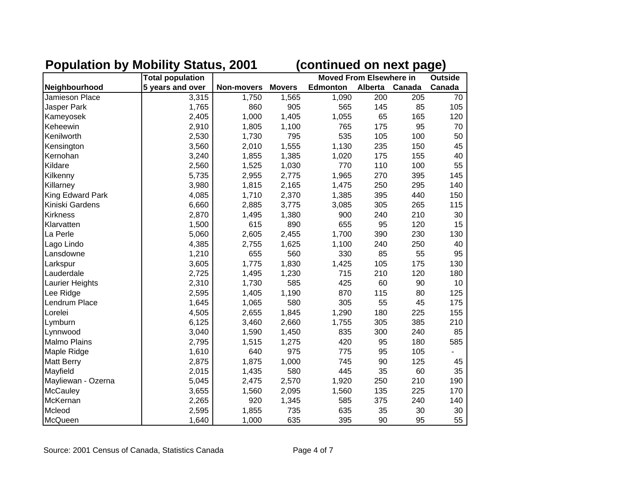|                     | <b>Total population</b> |                   |               | <b>Moved From Elsewhere in</b> | <b>Outside</b> |        |        |
|---------------------|-------------------------|-------------------|---------------|--------------------------------|----------------|--------|--------|
| Neighbourhood       | 5 years and over        | <b>Non-movers</b> | <b>Movers</b> | <b>Edmonton</b>                | <b>Alberta</b> | Canada | Canada |
| Jamieson Place      | 3,315                   | 1,750             | 1,565         | 1,090                          | 200            | 205    | 70     |
| <b>Jasper Park</b>  | 1,765                   | 860               | 905           | 565                            | 145            | 85     | 105    |
| Kameyosek           | 2,405                   | 1,000             | 1,405         | 1,055                          | 65             | 165    | 120    |
| Keheewin            | 2,910                   | 1,805             | 1,100         | 765                            | 175            | 95     | 70     |
| Kenilworth          | 2,530                   | 1,730             | 795           | 535                            | 105            | 100    | 50     |
| Kensington          | 3,560                   | 2,010             | 1,555         | 1,130                          | 235            | 150    | 45     |
| Kernohan            | 3,240                   | 1,855             | 1,385         | 1,020                          | 175            | 155    | 40     |
| Kildare             | 2,560                   | 1,525             | 1,030         | 770                            | 110            | 100    | 55     |
| Kilkenny            | 5,735                   | 2,955             | 2,775         | 1,965                          | 270            | 395    | 145    |
| Killarney           | 3,980                   | 1,815             | 2,165         | 1,475                          | 250            | 295    | 140    |
| King Edward Park    | 4,085                   | 1,710             | 2,370         | 1,385                          | 395            | 440    | 150    |
| Kiniski Gardens     | 6,660                   | 2,885             | 3,775         | 3,085                          | 305            | 265    | 115    |
| <b>Kirkness</b>     | 2,870                   | 1,495             | 1,380         | 900                            | 240            | 210    | 30     |
| Klarvatten          | 1,500                   | 615               | 890           | 655                            | 95             | 120    | 15     |
| La Perle            | 5,060                   | 2,605             | 2,455         | 1,700                          | 390            | 230    | 130    |
| Lago Lindo          | 4,385                   | 2,755             | 1,625         | 1,100                          | 240            | 250    | 40     |
| Lansdowne           | 1,210                   | 655               | 560           | 330                            | 85             | 55     | 95     |
| Larkspur            | 3,605                   | 1,775             | 1,830         | 1,425                          | 105            | 175    | 130    |
| Lauderdale          | 2,725                   | 1,495             | 1,230         | 715                            | 210            | 120    | 180    |
| Laurier Heights     | 2,310                   | 1,730             | 585           | 425                            | 60             | 90     | 10     |
| Lee Ridge           | 2,595                   | 1,405             | 1,190         | 870                            | 115            | 80     | 125    |
| Lendrum Place       | 1,645                   | 1,065             | 580           | 305                            | 55             | 45     | 175    |
| Lorelei             | 4,505                   | 2,655             | 1,845         | 1,290                          | 180            | 225    | 155    |
| Lymburn             | 6,125                   | 3,460             | 2,660         | 1,755                          | 305            | 385    | 210    |
| Lynnwood            | 3,040                   | 1,590             | 1,450         | 835                            | 300            | 240    | 85     |
| <b>Malmo Plains</b> | 2,795                   | 1,515             | 1,275         | 420                            | 95             | 180    | 585    |
| Maple Ridge         | 1,610                   | 640               | 975           | 775                            | 95             | 105    |        |
| <b>Matt Berry</b>   | 2,875                   | 1,875             | 1,000         | 745                            | 90             | 125    | 45     |
| Mayfield            | 2,015                   | 1,435             | 580           | 445                            | 35             | 60     | 35     |
| Mayliewan - Ozerna  | 5,045                   | 2,475             | 2,570         | 1,920                          | 250            | 210    | 190    |
| <b>McCauley</b>     | 3,655                   | 1,560             | 2,095         | 1,560                          | 135            | 225    | 170    |
| McKernan            | 2,265                   | 920               | 1,345         | 585                            | 375            | 240    | 140    |
| Mcleod              | 2,595                   | 1,855             | 735           | 635                            | 35             | 30     | 30     |
| McQueen             | 1,640                   | 1,000             | 635           | 395                            | 90             | 95     | 55     |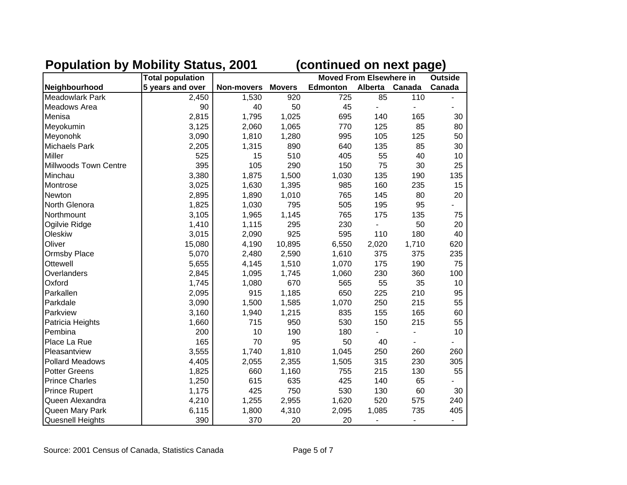|                       | <b>Total population</b> |            |               | <b>Moved From Elsewhere in</b> | <b>Outside</b> |                              |                          |
|-----------------------|-------------------------|------------|---------------|--------------------------------|----------------|------------------------------|--------------------------|
| Neighbourhood         | 5 years and over        | Non-movers | <b>Movers</b> | <b>Edmonton</b>                | Alberta Canada |                              | Canada                   |
| Meadowlark Park       | 2,450                   | 1,530      | 920           | 725                            | 85             | 110                          |                          |
| Meadows Area          | 90                      | 40         | 50            | 45                             |                | ä,                           |                          |
| Menisa                | 2,815                   | 1,795      | 1,025         | 695                            | 140            | 165                          | 30                       |
| Meyokumin             | 3,125                   | 2,060      | 1,065         | 770                            | 125            | 85                           | 80                       |
| Meyonohk              | 3,090                   | 1,810      | 1,280         | 995                            | 105            | 125                          | 50                       |
| <b>Michaels Park</b>  | 2,205                   | 1,315      | 890           | 640                            | 135            | 85                           | 30                       |
| <b>Miller</b>         | 525                     | 15         | 510           | 405                            | 55             | 40                           | 10                       |
| Millwoods Town Centre | 395                     | 105        | 290           | 150                            | 75             | 30                           | 25                       |
| Minchau               | 3,380                   | 1,875      | 1,500         | 1,030                          | 135            | 190                          | 135                      |
| Montrose              | 3,025                   | 1,630      | 1,395         | 985                            | 160            | 235                          | 15                       |
| Newton                | 2,895                   | 1,890      | 1,010         | 765                            | 145            | 80                           | 20                       |
| North Glenora         | 1,825                   | 1,030      | 795           | 505                            | 195            | 95                           |                          |
| Northmount            | 3,105                   | 1,965      | 1,145         | 765                            | 175            | 135                          | 75                       |
| Ogilvie Ridge         | 1,410                   | 1,115      | 295           | 230                            |                | 50                           | 20                       |
| Oleskiw               | 3,015                   | 2,090      | 925           | 595                            | 110            | 180                          | 40                       |
| Oliver                | 15,080                  | 4,190      | 10,895        | 6,550                          | 2,020          | 1,710                        | 620                      |
| <b>Ormsby Place</b>   | 5,070                   | 2,480      | 2,590         | 1,610                          | 375            | 375                          | 235                      |
| Ottewell              | 5,655                   | 4,145      | 1,510         | 1,070                          | 175            | 190                          | 75                       |
| Overlanders           | 2,845                   | 1,095      | 1,745         | 1,060                          | 230            | 360                          | 100                      |
| Oxford                | 1,745                   | 1,080      | 670           | 565                            | 55             | 35                           | 10                       |
| Parkallen             | 2,095                   | 915        | 1,185         | 650                            | 225            | 210                          | 95                       |
| Parkdale              | 3,090                   | 1,500      | 1,585         | 1,070                          | 250            | 215                          | 55                       |
| Parkview              | 3,160                   | 1,940      | 1,215         | 835                            | 155            | 165                          | 60                       |
| Patricia Heights      | 1,660                   | 715        | 950           | 530                            | 150            | 215                          | 55                       |
| Pembina               | 200                     | 10         | 190           | 180                            |                |                              | 10                       |
| Place La Rue          | 165                     | 70         | 95            | 50                             | 40             |                              |                          |
| Pleasantview          | 3,555                   | 1,740      | 1,810         | 1,045                          | 250            | 260                          | 260                      |
| Pollard Meadows       | 4,405                   | 2,055      | 2,355         | 1,505                          | 315            | 230                          | 305                      |
| <b>Potter Greens</b>  | 1,825                   | 660        | 1,160         | 755                            | 215            | 130                          | 55                       |
| <b>Prince Charles</b> | 1,250                   | 615        | 635           | 425                            | 140            | 65                           |                          |
| <b>Prince Rupert</b>  | 1,175                   | 425        | 750           | 530                            | 130            | 60                           | 30                       |
| Queen Alexandra       | 4,210                   | 1,255      | 2,955         | 1,620                          | 520            | 575                          | 240                      |
| Queen Mary Park       | 6,115                   | 1,800      | 4,310         | 2,095                          | 1,085          | 735                          | 405                      |
| Quesnell Heights      | 390                     | 370        | 20            | 20                             |                | $\qquad \qquad \blacksquare$ | $\overline{\phantom{0}}$ |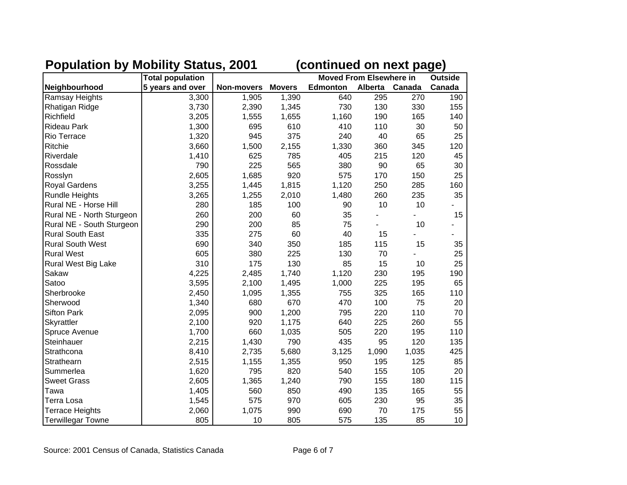|                           | <b>Total population</b> |                   |               | <b>Moved From Elsewhere in</b> | <b>Outside</b> |        |                 |
|---------------------------|-------------------------|-------------------|---------------|--------------------------------|----------------|--------|-----------------|
| Neighbourhood             | 5 years and over        | <b>Non-movers</b> | <b>Movers</b> | <b>Edmonton</b>                | <b>Alberta</b> | Canada | Canada          |
| <b>Ramsay Heights</b>     | 3,300                   | 1,905             | 1,390         | 640                            | 295            | 270    | 190             |
| Rhatigan Ridge            | 3,730                   | 2,390             | 1,345         | 730                            | 130            | 330    | 155             |
| Richfield                 | 3,205                   | 1,555             | 1,655         | 1,160                          | 190            | 165    | 140             |
| <b>Rideau Park</b>        | 1,300                   | 695               | 610           | 410                            | 110            | 30     | 50              |
| Rio Terrace               | 1,320                   | 945               | 375           | 240                            | 40             | 65     | 25              |
| Ritchie                   | 3,660                   | 1,500             | 2,155         | 1,330                          | 360            | 345    | 120             |
| Riverdale                 | 1,410                   | 625               | 785           | 405                            | 215            | 120    | 45              |
| Rossdale                  | 790                     | 225               | 565           | 380                            | 90             | 65     | 30              |
| Rosslyn                   | 2,605                   | 1,685             | 920           | 575                            | 170            | 150    | 25              |
| Royal Gardens             | 3,255                   | 1,445             | 1,815         | 1,120                          | 250            | 285    | 160             |
| <b>Rundle Heights</b>     | 3,265                   | 1,255             | 2,010         | 1,480                          | 260            | 235    | 35              |
| Rural NE - Horse Hill     | 280                     | 185               | 100           | 90                             | 10             | 10     |                 |
| Rural NE - North Sturgeon | 260                     | 200               | 60            | 35                             |                |        | 15              |
| Rural NE - South Sturgeon | 290                     | 200               | 85            | 75                             |                | 10     |                 |
| <b>Rural South East</b>   | 335                     | 275               | 60            | 40                             | 15             |        |                 |
| <b>Rural South West</b>   | 690                     | 340               | 350           | 185                            | 115            | 15     | 35              |
| <b>Rural West</b>         | 605                     | 380               | 225           | 130                            | 70             |        | 25              |
| Rural West Big Lake       | 310                     | 175               | 130           | 85                             | 15             | 10     | 25              |
| Sakaw                     | 4,225                   | 2,485             | 1,740         | 1,120                          | 230            | 195    | 190             |
| Satoo                     | 3,595                   | 2,100             | 1,495         | 1,000                          | 225            | 195    | 65              |
| Sherbrooke                | 2,450                   | 1,095             | 1,355         | 755                            | 325            | 165    | 110             |
| Sherwood                  | 1,340                   | 680               | 670           | 470                            | 100            | 75     | 20              |
| <b>Sifton Park</b>        | 2,095                   | 900               | 1,200         | 795                            | 220            | 110    | 70              |
| Skyrattler                | 2,100                   | 920               | 1,175         | 640                            | 225            | 260    | 55              |
| Spruce Avenue             | 1,700                   | 660               | 1,035         | 505                            | 220            | 195    | 110             |
| Steinhauer                | 2,215                   | 1,430             | 790           | 435                            | 95             | 120    | 135             |
| Strathcona                | 8,410                   | 2,735             | 5,680         | 3,125                          | 1,090          | 1,035  | 425             |
| Strathearn                | 2,515                   | 1,155             | 1,355         | 950                            | 195            | 125    | 85              |
| Summerlea                 | 1,620                   | 795               | 820           | 540                            | 155            | 105    | 20              |
| <b>Sweet Grass</b>        | 2,605                   | 1,365             | 1,240         | 790                            | 155            | 180    | 115             |
| Tawa                      | 1,405                   | 560               | 850           | 490                            | 135            | 165    | 55              |
| Terra Losa                | 1,545                   | 575               | 970           | 605                            | 230            | 95     | 35              |
| <b>Terrace Heights</b>    | 2,060                   | 1,075             | 990           | 690                            | 70             | 175    | 55              |
| <b>Terwillegar Towne</b>  | 805                     | 10                | 805           | 575                            | 135            | 85     | 10 <sup>1</sup> |